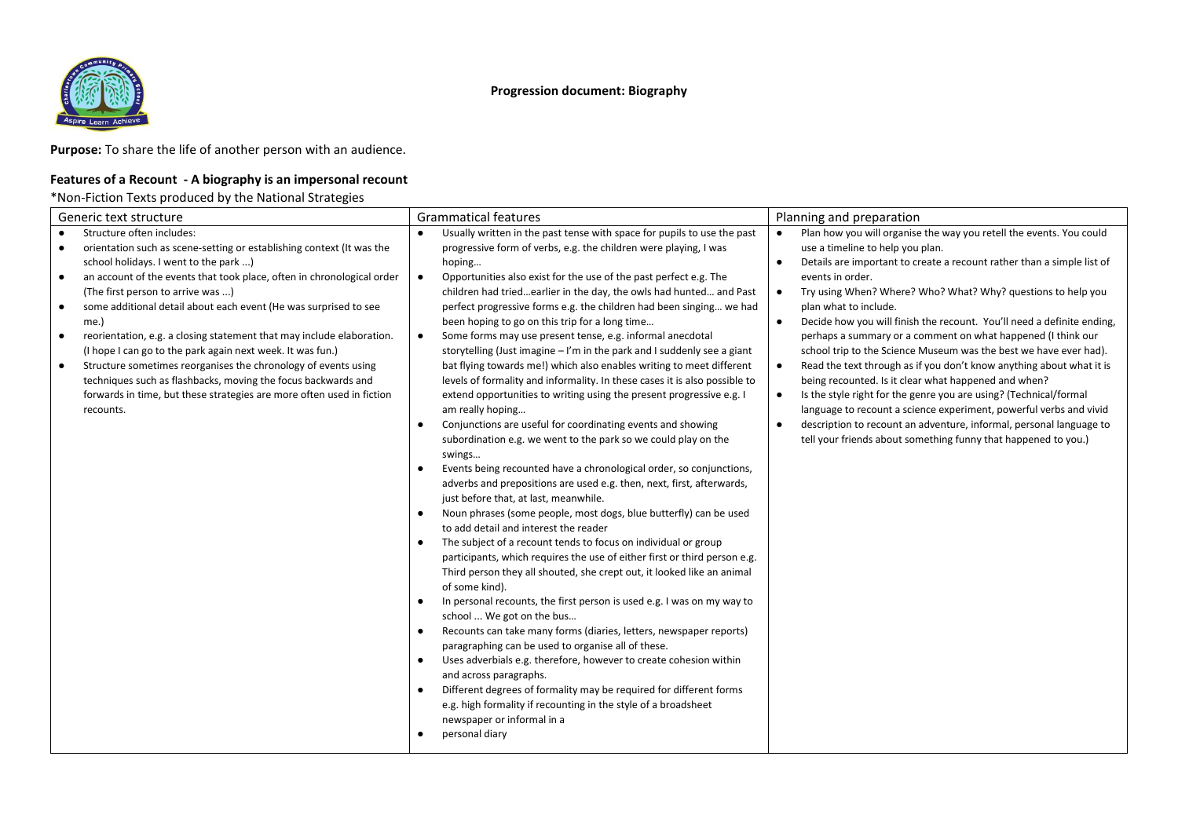



**Purpose:** To share the life of another person with an audience.

## **Features of a Recount - A biography is an impersonal recount**

## \*Non-Fiction Texts produced by the National Strategies

| Generic text structure                                                                                                                                                                                                                                                                                                                                                                                                                                                                                                                                                                                                                                                                                                                               | Grammatical features                                                                                                                                                                                                                                                                                                                                                                                                                                                                                                                                                                                                                                                                                                                                                                                                                                                                                                                                                                                                                                                                                                                                                                                                                                                                                                                                                                                                                                                                                                                                                                                                                                                                                                                                                                                                                                                                                                                                                                                                                                                                                                                                 | Planning and preparation                                                                                                                                                                                                                                                                                                                                                                                                                                                                                                                                                                                                                                                                                                                                                                                                                                                                                                                                                                                                     |
|------------------------------------------------------------------------------------------------------------------------------------------------------------------------------------------------------------------------------------------------------------------------------------------------------------------------------------------------------------------------------------------------------------------------------------------------------------------------------------------------------------------------------------------------------------------------------------------------------------------------------------------------------------------------------------------------------------------------------------------------------|------------------------------------------------------------------------------------------------------------------------------------------------------------------------------------------------------------------------------------------------------------------------------------------------------------------------------------------------------------------------------------------------------------------------------------------------------------------------------------------------------------------------------------------------------------------------------------------------------------------------------------------------------------------------------------------------------------------------------------------------------------------------------------------------------------------------------------------------------------------------------------------------------------------------------------------------------------------------------------------------------------------------------------------------------------------------------------------------------------------------------------------------------------------------------------------------------------------------------------------------------------------------------------------------------------------------------------------------------------------------------------------------------------------------------------------------------------------------------------------------------------------------------------------------------------------------------------------------------------------------------------------------------------------------------------------------------------------------------------------------------------------------------------------------------------------------------------------------------------------------------------------------------------------------------------------------------------------------------------------------------------------------------------------------------------------------------------------------------------------------------------------------------|------------------------------------------------------------------------------------------------------------------------------------------------------------------------------------------------------------------------------------------------------------------------------------------------------------------------------------------------------------------------------------------------------------------------------------------------------------------------------------------------------------------------------------------------------------------------------------------------------------------------------------------------------------------------------------------------------------------------------------------------------------------------------------------------------------------------------------------------------------------------------------------------------------------------------------------------------------------------------------------------------------------------------|
| Structure often includes:<br>$\bullet$<br>orientation such as scene-setting or establishing context (It was the<br>٠<br>school holidays. I went to the park )<br>an account of the events that took place, often in chronological order<br>٠<br>(The first person to arrive was )<br>some additional detail about each event (He was surprised to see<br>٠<br>me.)<br>reorientation, e.g. a closing statement that may include elaboration.<br>$\bullet$<br>(I hope I can go to the park again next week. It was fun.)<br>Structure sometimes reorganises the chronology of events using<br>٠<br>techniques such as flashbacks, moving the focus backwards and<br>forwards in time, but these strategies are more often used in fiction<br>recounts. | Usually written in the past tense with space for pupils to use the past<br>progressive form of verbs, e.g. the children were playing, I was<br>hoping<br>Opportunities also exist for the use of the past perfect e.g. The<br>$\bullet$<br>children had triedearlier in the day, the owls had hunted and Past<br>perfect progressive forms e.g. the children had been singing we had<br>been hoping to go on this trip for a long time<br>Some forms may use present tense, e.g. informal anecdotal<br>$\bullet$<br>storytelling (Just imagine $-1$ 'm in the park and I suddenly see a giant<br>bat flying towards me!) which also enables writing to meet different<br>levels of formality and informality. In these cases it is also possible to<br>extend opportunities to writing using the present progressive e.g. I<br>am really hoping<br>Conjunctions are useful for coordinating events and showing<br>$\bullet$<br>subordination e.g. we went to the park so we could play on the<br>swings<br>Events being recounted have a chronological order, so conjunctions,<br>adverbs and prepositions are used e.g. then, next, first, afterwards,<br>just before that, at last, meanwhile.<br>Noun phrases (some people, most dogs, blue butterfly) can be used<br>to add detail and interest the reader<br>The subject of a recount tends to focus on individual or group<br>participants, which requires the use of either first or third person e.g.<br>Third person they all shouted, she crept out, it looked like an animal<br>of some kind).<br>In personal recounts, the first person is used e.g. I was on my way to<br>$\bullet$<br>school  We got on the bus<br>Recounts can take many forms (diaries, letters, newspaper reports)<br>$\bullet$<br>paragraphing can be used to organise all of these.<br>Uses adverbials e.g. therefore, however to create cohesion within<br>$\bullet$<br>and across paragraphs.<br>Different degrees of formality may be required for different forms<br>$\bullet$<br>e.g. high formality if recounting in the style of a broadsheet<br>newspaper or informal in a<br>personal diary<br>$\bullet$ | Plan how you will organise the way you retell the events. You could<br>$\bullet$<br>use a timeline to help you plan.<br>Details are important to create a recount rather than a simple list of<br>$\bullet$<br>events in order.<br>Try using When? Where? Who? What? Why? questions to help you<br>$\bullet$<br>plan what to include.<br>Decide how you will finish the recount. You'll need a definite ending,<br>$\bullet$<br>perhaps a summary or a comment on what happened (I think our<br>school trip to the Science Museum was the best we have ever had).<br>Read the text through as if you don't know anything about what it is<br>$\bullet$<br>being recounted. Is it clear what happened and when?<br>Is the style right for the genre you are using? (Technical/formal<br>$\bullet$<br>language to recount a science experiment, powerful verbs and vivid<br>description to recount an adventure, informal, personal language to<br>$\bullet$<br>tell your friends about something funny that happened to you.) |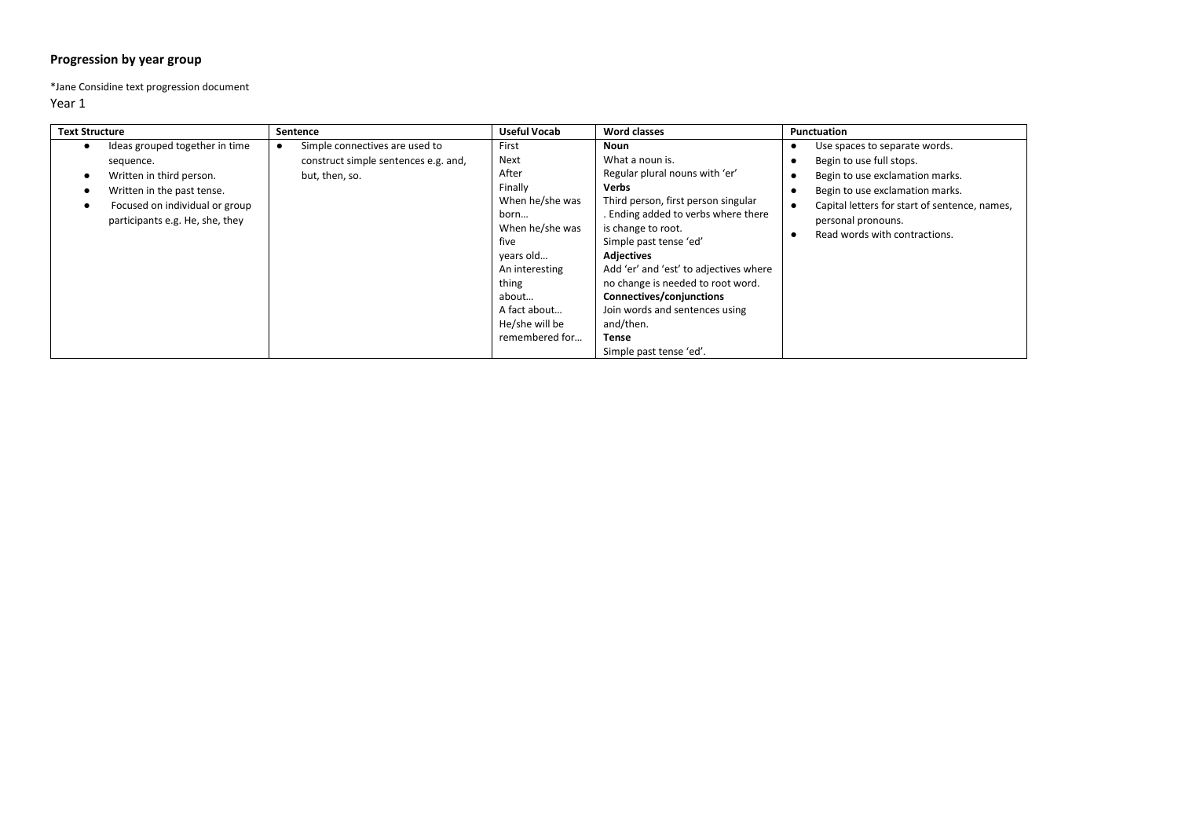## **Progression by year group**

\*Jane Considine text progression document

| <b>Text Structure</b> |                                                                                                                                                                            | Sentence                                                                                 | <b>Useful Vocab</b>                                                                                                                                                                          | <b>Word classes</b>                                                                                                                                                                                                                                                                                                                                                                                                        | Punctuation                                                                                                                                                                                                                             |
|-----------------------|----------------------------------------------------------------------------------------------------------------------------------------------------------------------------|------------------------------------------------------------------------------------------|----------------------------------------------------------------------------------------------------------------------------------------------------------------------------------------------|----------------------------------------------------------------------------------------------------------------------------------------------------------------------------------------------------------------------------------------------------------------------------------------------------------------------------------------------------------------------------------------------------------------------------|-----------------------------------------------------------------------------------------------------------------------------------------------------------------------------------------------------------------------------------------|
|                       | Ideas grouped together in time<br>sequence.<br>Written in third person.<br>Written in the past tense.<br>Focused on individual or group<br>participants e.g. He, she, they | Simple connectives are used to<br>construct simple sentences e.g. and,<br>but, then, so. | First<br>Next<br>After<br>Finally<br>When he/she was<br>born<br>When he/she was<br>five<br>years old<br>An interesting<br>thing<br>about<br>A fact about<br>He/she will be<br>remembered for | Noun<br>What a noun is.<br>Regular plural nouns with 'er'<br>Verbs<br>Third person, first person singular<br>. Ending added to verbs where there<br>is change to root.<br>Simple past tense 'ed'<br><b>Adjectives</b><br>Add 'er' and 'est' to adjectives where<br>no change is needed to root word.<br>Connectives/conjunctions<br>Join words and sentences using<br>and/then.<br><b>Tense</b><br>Simple past tense 'ed'. | Use spaces to separate words.<br>Begin to use full stops.<br>Begin to use exclamation marks.<br>Begin to use exclamation marks.<br>Capital letters for start of sentence, names,<br>personal pronouns.<br>Read words with contractions. |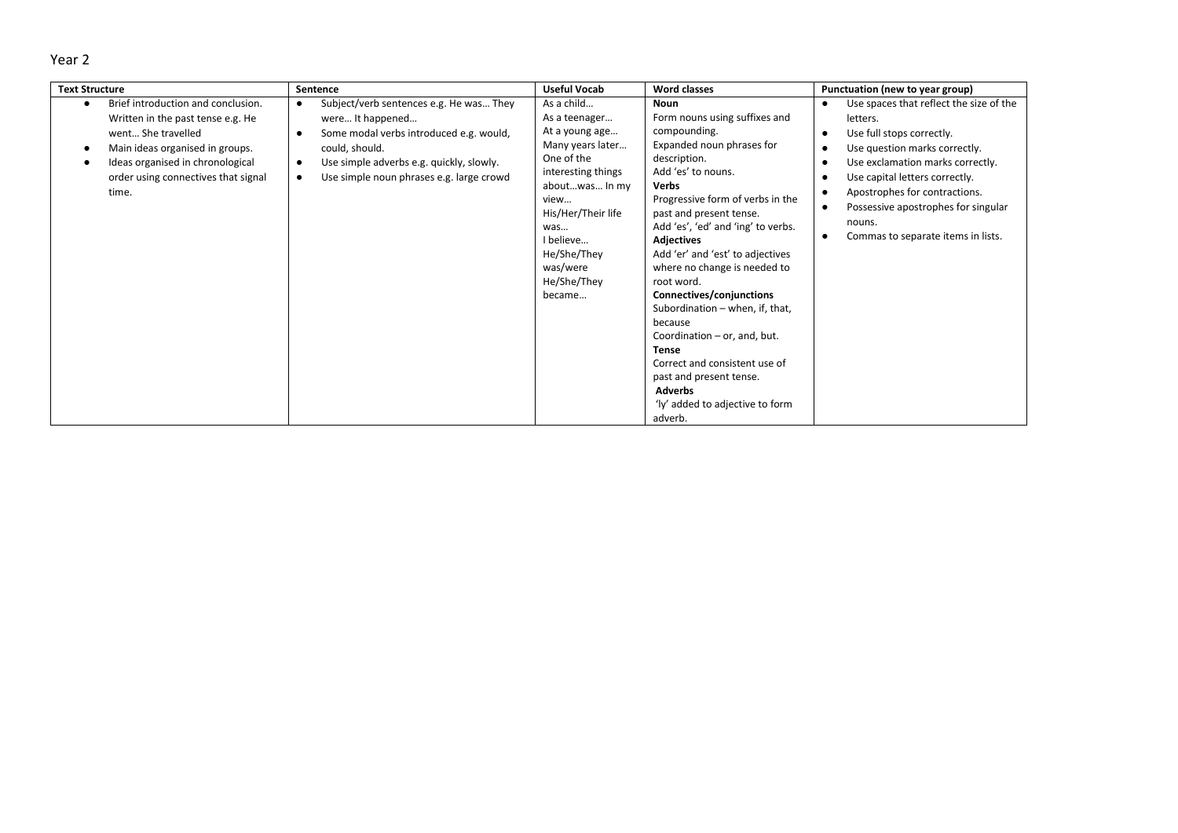| <b>Text Structure</b>                                                                                                                                                                                                | Sentence                                                                                                                                                                                                                                                             | <b>Useful Vocab</b>                                                                                                                                                                                                           | <b>Word classes</b>                                                                                                                                                                                                                                                                                                                                                                                                                                                                                                                                                                                               | Punctuation (new to year group)                                                                                                                                                                                                                                                                                                                        |
|----------------------------------------------------------------------------------------------------------------------------------------------------------------------------------------------------------------------|----------------------------------------------------------------------------------------------------------------------------------------------------------------------------------------------------------------------------------------------------------------------|-------------------------------------------------------------------------------------------------------------------------------------------------------------------------------------------------------------------------------|-------------------------------------------------------------------------------------------------------------------------------------------------------------------------------------------------------------------------------------------------------------------------------------------------------------------------------------------------------------------------------------------------------------------------------------------------------------------------------------------------------------------------------------------------------------------------------------------------------------------|--------------------------------------------------------------------------------------------------------------------------------------------------------------------------------------------------------------------------------------------------------------------------------------------------------------------------------------------------------|
| Brief introduction and conclusion.<br>Written in the past tense e.g. He<br>went She travelled<br>Main ideas organised in groups.<br>Ideas organised in chronological<br>order using connectives that signal<br>time. | Subject/verb sentences e.g. He was They<br>$\bullet$<br>were It happened<br>Some modal verbs introduced e.g. would,<br>$\bullet$<br>could, should.<br>Use simple adverbs e.g. quickly, slowly.<br>$\bullet$<br>Use simple noun phrases e.g. large crowd<br>$\bullet$ | As a child<br>As a teenager<br>At a young age<br>Many years later<br>One of the<br>interesting things<br>aboutwas In my<br>view<br>His/Her/Their life<br>was<br>I believe<br>He/She/They<br>was/were<br>He/She/They<br>became | <b>Noun</b><br>Form nouns using suffixes and<br>compounding.<br>Expanded noun phrases for<br>description.<br>Add 'es' to nouns.<br><b>Verbs</b><br>Progressive form of verbs in the<br>past and present tense.<br>Add 'es', 'ed' and 'ing' to verbs.<br><b>Adjectives</b><br>Add 'er' and 'est' to adjectives<br>where no change is needed to<br>root word.<br>Connectives/conjunctions<br>Subordination - when, if, that,<br>because<br>Coordination - or, and, but.<br><b>Tense</b><br>Correct and consistent use of<br>past and present tense.<br><b>Adverbs</b><br>'ly' added to adjective to form<br>adverb. | Use spaces that reflect the size of the<br>$\bullet$<br>letters.<br>Use full stops correctly.<br>Use question marks correctly.<br>$\bullet$<br>Use exclamation marks correctly.<br>Use capital letters correctly.<br>Apostrophes for contractions.<br>Possessive apostrophes for singular<br>nouns.<br>Commas to separate items in lists.<br>$\bullet$ |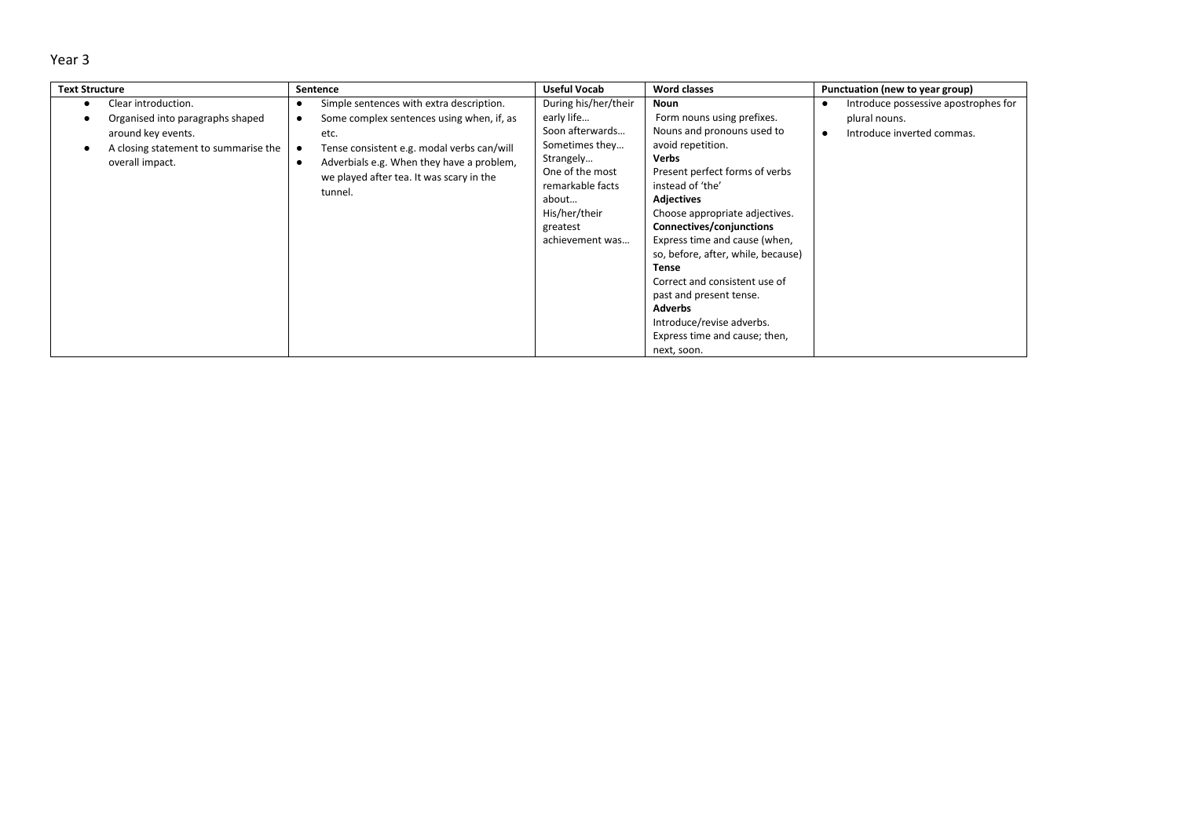| <br>۰.<br>× | M.<br>٠ |
|-------------|---------|
|-------------|---------|

| <b>Text Structure</b>                                                                                                                    | Sentence                                                                                                                                                                                                                                        | <b>Useful Vocab</b>                                                                                                                                                                  | <b>Word classes</b>                                                                                                                                                                                                                                                                                                                                                                                                                                                                              | Punctuation (new to year group)                                                     |
|------------------------------------------------------------------------------------------------------------------------------------------|-------------------------------------------------------------------------------------------------------------------------------------------------------------------------------------------------------------------------------------------------|--------------------------------------------------------------------------------------------------------------------------------------------------------------------------------------|--------------------------------------------------------------------------------------------------------------------------------------------------------------------------------------------------------------------------------------------------------------------------------------------------------------------------------------------------------------------------------------------------------------------------------------------------------------------------------------------------|-------------------------------------------------------------------------------------|
| Clear introduction.<br>Organised into paragraphs shaped<br>around key events.<br>A closing statement to summarise the<br>overall impact. | Simple sentences with extra description.<br>Some complex sentences using when, if, as<br>etc.<br>Tense consistent e.g. modal verbs can/will<br>Adverbials e.g. When they have a problem,<br>we played after tea. It was scary in the<br>tunnel. | During his/her/their<br>early life<br>Soon afterwards<br>Sometimes they<br>Strangely<br>One of the most<br>remarkable facts<br>about<br>His/her/their<br>greatest<br>achievement was | Noun<br>Form nouns using prefixes.<br>Nouns and pronouns used to<br>avoid repetition.<br><b>Verbs</b><br>Present perfect forms of verbs<br>instead of 'the'<br><b>Adjectives</b><br>Choose appropriate adjectives.<br>Connectives/conjunctions<br>Express time and cause (when,<br>so, before, after, while, because)<br><b>Tense</b><br>Correct and consistent use of<br>past and present tense.<br><b>Adverbs</b><br>Introduce/revise adverbs.<br>Express time and cause; then,<br>next, soon. | Introduce possessive apostrophes for<br>plural nouns.<br>Introduce inverted commas. |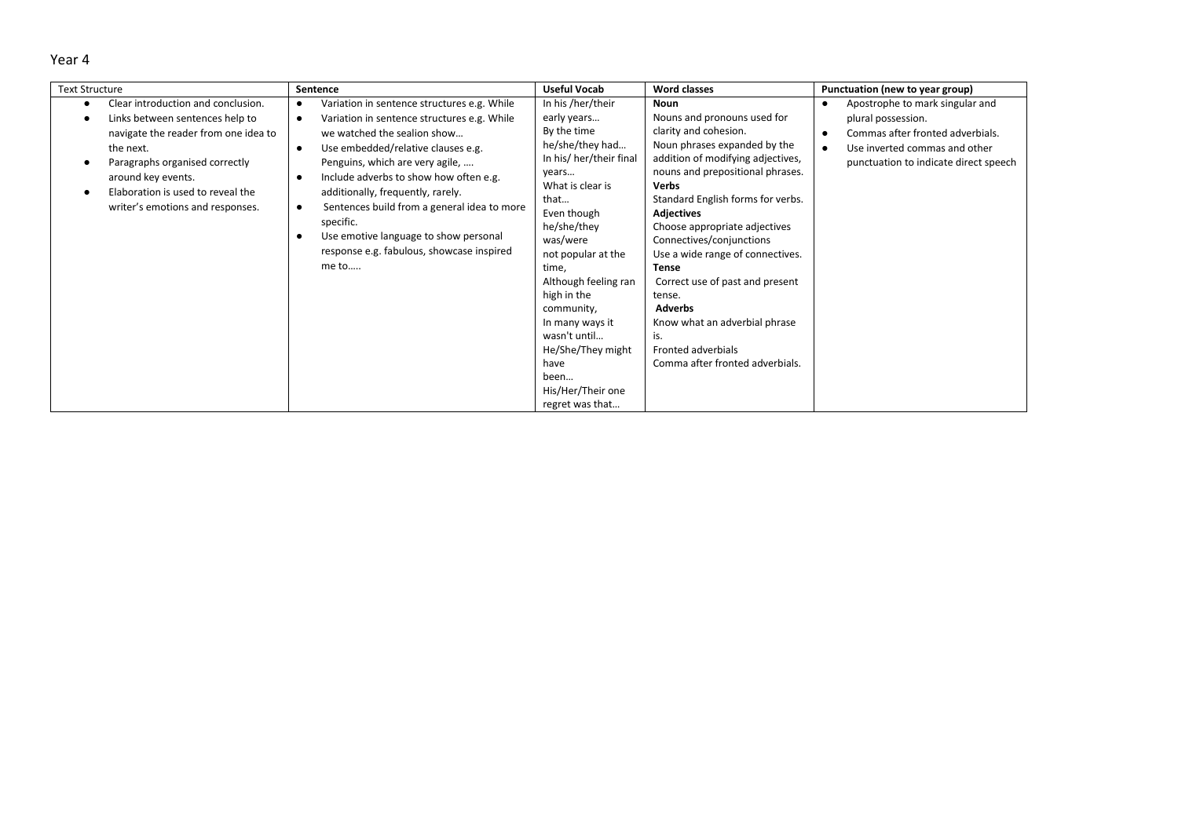| <b>Text Structure</b>                                                                                                                                                                                                                                       | Sentence                                                                                                                                                                                                                                                                                                                                                                                                                                                  | <b>Useful Vocab</b>                                                                                                                                                                                                                                                                                                                                                              | <b>Word classes</b>                                                                                                                                                                                                                                                                                                                                                                                                                                                                                                              | Punctuation (new to year group)                                                                                                                                     |
|-------------------------------------------------------------------------------------------------------------------------------------------------------------------------------------------------------------------------------------------------------------|-----------------------------------------------------------------------------------------------------------------------------------------------------------------------------------------------------------------------------------------------------------------------------------------------------------------------------------------------------------------------------------------------------------------------------------------------------------|----------------------------------------------------------------------------------------------------------------------------------------------------------------------------------------------------------------------------------------------------------------------------------------------------------------------------------------------------------------------------------|----------------------------------------------------------------------------------------------------------------------------------------------------------------------------------------------------------------------------------------------------------------------------------------------------------------------------------------------------------------------------------------------------------------------------------------------------------------------------------------------------------------------------------|---------------------------------------------------------------------------------------------------------------------------------------------------------------------|
| Clear introduction and conclusion.<br>Links between sentences help to<br>navigate the reader from one idea to<br>the next.<br>Paragraphs organised correctly<br>around key events.<br>Elaboration is used to reveal the<br>writer's emotions and responses. | Variation in sentence structures e.g. While<br>Variation in sentence structures e.g. While<br>$\bullet$<br>we watched the sealion show<br>Use embedded/relative clauses e.g.<br>Penguins, which are very agile,<br>Include adverbs to show how often e.g.<br>additionally, frequently, rarely.<br>Sentences build from a general idea to more<br>specific.<br>Use emotive language to show personal<br>response e.g. fabulous, showcase inspired<br>me to | In his /her/their<br>early years<br>By the time<br>he/she/they had<br>In his/ her/their final<br>years<br>What is clear is<br>that<br>Even though<br>he/she/they<br>was/were<br>not popular at the<br>time,<br>Although feeling ran<br>high in the<br>community,<br>In many ways it<br>wasn't until<br>He/She/They might<br>have<br>been<br>His/Her/Their one<br>regret was that | <b>Noun</b><br>Nouns and pronouns used for<br>clarity and cohesion.<br>Noun phrases expanded by the<br>addition of modifying adjectives,<br>nouns and prepositional phrases.<br><b>Verbs</b><br>Standard English forms for verbs.<br><b>Adjectives</b><br>Choose appropriate adjectives<br>Connectives/conjunctions<br>Use a wide range of connectives.<br><b>Tense</b><br>Correct use of past and present<br>tense.<br>Adverbs<br>Know what an adverbial phrase<br>is.<br>Fronted adverbials<br>Comma after fronted adverbials. | Apostrophe to mark singular and<br>plural possession.<br>Commas after fronted adverbials.<br>Use inverted commas and other<br>punctuation to indicate direct speech |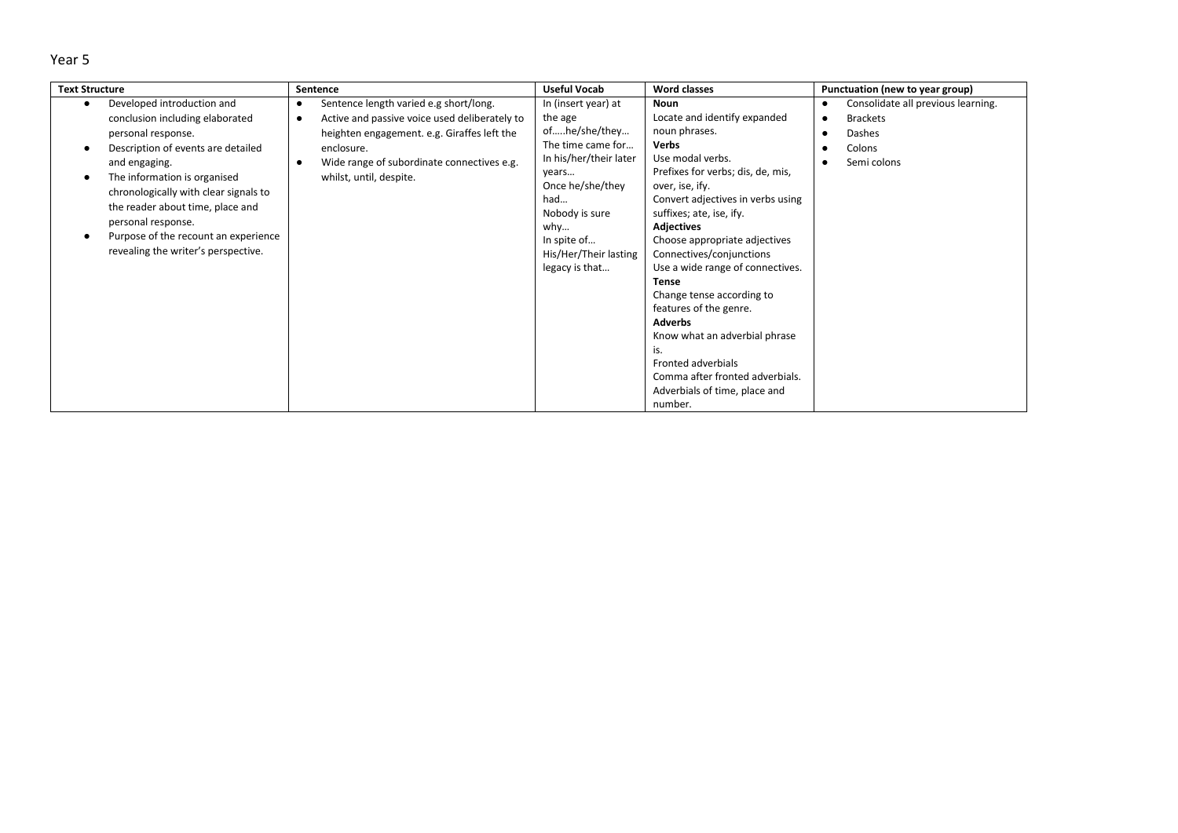| <b>Text Structure</b>                                                                                                                                                                                                                                                                                                                                        | Sentence                                                                                                                                                                                                                                                             | <b>Useful Vocab</b>                                                                                                                                                                                                   | <b>Word classes</b>                                                                                                                                                                                                                                                                                                                                                                                                                                                                                                                                                            | Punctuation (new to year group)                                                                       |
|--------------------------------------------------------------------------------------------------------------------------------------------------------------------------------------------------------------------------------------------------------------------------------------------------------------------------------------------------------------|----------------------------------------------------------------------------------------------------------------------------------------------------------------------------------------------------------------------------------------------------------------------|-----------------------------------------------------------------------------------------------------------------------------------------------------------------------------------------------------------------------|--------------------------------------------------------------------------------------------------------------------------------------------------------------------------------------------------------------------------------------------------------------------------------------------------------------------------------------------------------------------------------------------------------------------------------------------------------------------------------------------------------------------------------------------------------------------------------|-------------------------------------------------------------------------------------------------------|
| Developed introduction and<br>conclusion including elaborated<br>personal response.<br>Description of events are detailed<br>and engaging.<br>The information is organised<br>chronologically with clear signals to<br>the reader about time, place and<br>personal response.<br>Purpose of the recount an experience<br>revealing the writer's perspective. | Sentence length varied e.g short/long.<br>$\bullet$<br>Active and passive voice used deliberately to<br>$\bullet$<br>heighten engagement. e.g. Giraffes left the<br>enclosure.<br>Wide range of subordinate connectives e.g.<br>$\bullet$<br>whilst, until, despite. | In (insert year) at<br>the age<br>ofhe/she/they<br>The time came for<br>In his/her/their later<br>years<br>Once he/she/they<br>had<br>Nobody is sure<br>why<br>In spite of<br>His/Her/Their lasting<br>legacy is that | Noun<br>Locate and identify expanded<br>noun phrases.<br><b>Verbs</b><br>Use modal verbs.<br>Prefixes for verbs; dis, de, mis,<br>over, ise, ify.<br>Convert adjectives in verbs using<br>suffixes; ate, ise, ify.<br><b>Adjectives</b><br>Choose appropriate adjectives<br>Connectives/conjunctions<br>Use a wide range of connectives.<br><b>Tense</b><br>Change tense according to<br>features of the genre.<br><b>Adverbs</b><br>Know what an adverbial phrase<br>is.<br>Fronted adverbials<br>Comma after fronted adverbials.<br>Adverbials of time, place and<br>number. | Consolidate all previous learning.<br><b>Brackets</b><br>$\bullet$<br>Dashes<br>Colons<br>Semi colons |